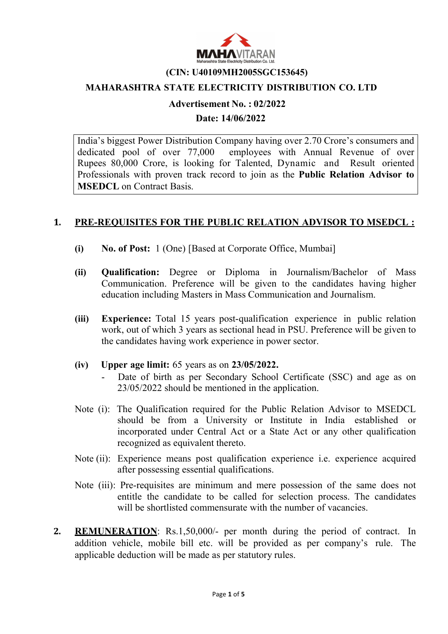

#### (CIN: U40109MH2005SGC153645)

### MAHARASHTRA STATE ELECTRICITY DISTRIBUTION CO. LTD

### Advertisement No. : 02/2022

Date: 14/06/2022

India's biggest Power Distribution Company having over 2.70 Crore's consumers and dedicated pool of over 77,000 employees with Annual Revenue of over Rupees 80,000 Crore, is looking for Talented, Dynamic and Result oriented Professionals with proven track record to join as the Public Relation Advisor to MSEDCL on Contract Basis.

### 1. PRE-REQUISITES FOR THE PUBLIC RELATION ADVISOR TO MSEDCL :

- (i) No. of Post: 1 (One) [Based at Corporate Office, Mumbai]
- (ii) Qualification: Degree or Diploma in Journalism/Bachelor of Mass Communication. Preference will be given to the candidates having higher education including Masters in Mass Communication and Journalism.
- (iii) Experience: Total 15 years post-qualification experience in public relation work, out of which 3 years as sectional head in PSU. Preference will be given to the candidates having work experience in power sector.

### (iv) Upper age limit: 65 years as on 23/05/2022.

- Date of birth as per Secondary School Certificate (SSC) and age as on 23/05/2022 should be mentioned in the application.
- Note (i): The Qualification required for the Public Relation Advisor to MSEDCL should be from a University or Institute in India established or incorporated under Central Act or a State Act or any other qualification recognized as equivalent thereto.
- Note (ii): Experience means post qualification experience i.e. experience acquired after possessing essential qualifications.
- Note (iii): Pre-requisites are minimum and mere possession of the same does not entitle the candidate to be called for selection process. The candidates will be shortlisted commensurate with the number of vacancies.
- 2. REMUNERATION: Rs.1,50,000/- per month during the period of contract. In addition vehicle, mobile bill etc. will be provided as per company's rule. The applicable deduction will be made as per statutory rules.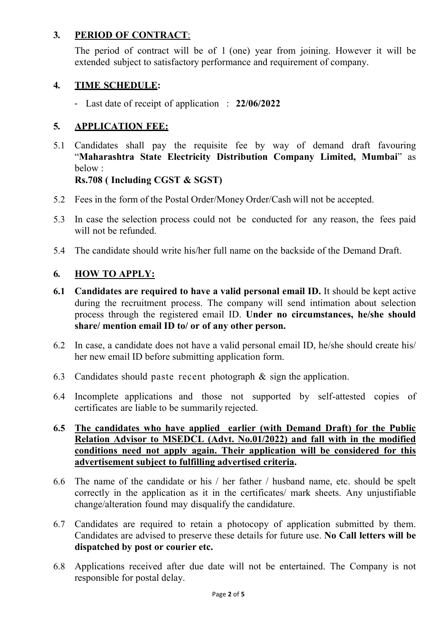# 3. PERIOD OF CONTRACT:

The period of contract will be of 1 (one) year from joining. However it will be extended subject to satisfactory performance and requirement of company.

## 4. TIME SCHEDULE:

- Last date of receipt of application : 22/06/2022

# 5. APPLICATION FEE:

5.1 Candidates shall pay the requisite fee by way of demand draft favouring "Maharashtra State Electricity Distribution Company Limited, Mumbai" as below :

## Rs.708 ( Including CGST & SGST)

- 5.2 Fees in the form of the Postal Order/Money Order/Cash will not be accepted.
- 5.3 In case the selection process could not be conducted for any reason, the fees paid will not be refunded.
- 5.4 The candidate should write his/her full name on the backside of the Demand Draft.

## 6. HOW TO APPLY:

- 6.1 Candidates are required to have a valid personal email ID. It should be kept active during the recruitment process. The company will send intimation about selection process through the registered email ID. Under no circumstances, he/she should share/ mention email ID to/ or of any other person.
- 6.2 In case, a candidate does not have a valid personal email ID, he/she should create his/ her new email ID before submitting application form.
- 6.3 Candidates should paste recent photograph & sign the application.
- 6.4 Incomplete applications and those not supported by self-attested copies of certificates are liable to be summarily rejected.

## 6.5 The candidates who have applied earlier (with Demand Draft) for the Public Relation Advisor to MSEDCL (Advt. No.01/2022) and fall with in the modified conditions need not apply again. Their application will be considered for this advertisement subject to fulfilling advertised criteria.

- 6.6 The name of the candidate or his / her father / husband name, etc. should be spelt correctly in the application as it in the certificates/ mark sheets. Any unjustifiable change/alteration found may disqualify the candidature.
- 6.7 Candidates are required to retain a photocopy of application submitted by them. Candidates are advised to preserve these details for future use. No Call letters will be dispatched by post or courier etc.
- 6.8 Applications received after due date will not be entertained. The Company is not responsible for postal delay.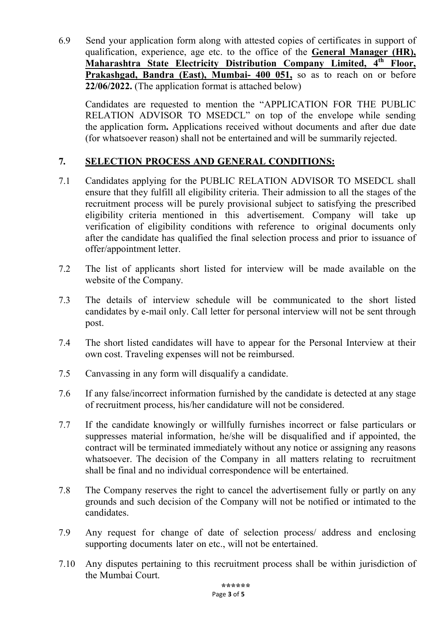6.9 Send your application form along with attested copies of certificates in support of qualification, experience, age etc. to the office of the General Manager (HR), Maharashtra State Electricity Distribution Company Limited, 4<sup>th</sup> Floor, Prakashgad, Bandra (East), Mumbai- 400 051, so as to reach on or before 22/06/2022. (The application format is attached below)

Candidates are requested to mention the "APPLICATION FOR THE PUBLIC RELATION ADVISOR TO MSEDCL" on top of the envelope while sending the application form. Applications received without documents and after due date (for whatsoever reason) shall not be entertained and will be summarily rejected.

# 7. SELECTION PROCESS AND GENERAL CONDITIONS:

- 7.1 Candidates applying for the PUBLIC RELATION ADVISOR TO MSEDCL shall ensure that they fulfill all eligibility criteria. Their admission to all the stages of the recruitment process will be purely provisional subject to satisfying the prescribed eligibility criteria mentioned in this advertisement. Company will take up verification of eligibility conditions with reference to original documents only after the candidate has qualified the final selection process and prior to issuance of offer/appointment letter.
- 7.2 The list of applicants short listed for interview will be made available on the website of the Company.
- 7.3 The details of interview schedule will be communicated to the short listed candidates by e-mail only. Call letter for personal interview will not be sent through post.
- 7.4 The short listed candidates will have to appear for the Personal Interview at their own cost. Traveling expenses will not be reimbursed.
- 7.5 Canvassing in any form will disqualify a candidate.
- 7.6 If any false/incorrect information furnished by the candidate is detected at any stage of recruitment process, his/her candidature will not be considered.
- 7.7 If the candidate knowingly or willfully furnishes incorrect or false particulars or suppresses material information, he/she will be disqualified and if appointed, the contract will be terminated immediately without any notice or assigning any reasons whatsoever. The decision of the Company in all matters relating to recruitment shall be final and no individual correspondence will be entertained.
- 7.8 The Company reserves the right to cancel the advertisement fully or partly on any grounds and such decision of the Company will not be notified or intimated to the candidates.
- 7.9 Any request for change of date of selection process/ address and enclosing supporting documents later on etc., will not be entertained.
- 7.10 Any disputes pertaining to this recruitment process shall be within jurisdiction of the Mumbai Court.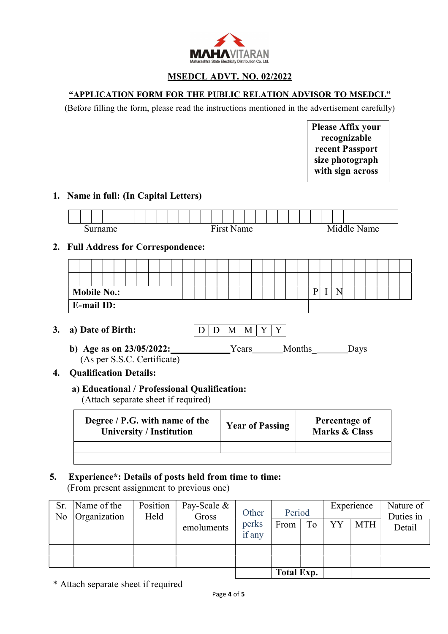

### MSEDCL ADVT. NO. 02/2022

#### "APPLICATION FORM FOR THE PUBLIC RELATION ADVISOR TO MSEDCL"

(Before filling the form, please read the instructions mentioned in the advertisement carefully)

Please Affix your recognizable recent Passport size photograph with sign across

### 1. Name in full: (In Capital Letters)



## 2. Full Address for Correspondence:

| <b>Mobile No.:</b> |                   |  |  |  |  |  |  |  |  |  |  | חד |  |  |  |  |  |  |  |  |  |  |
|--------------------|-------------------|--|--|--|--|--|--|--|--|--|--|----|--|--|--|--|--|--|--|--|--|--|
|                    | <b>E-mail ID:</b> |  |  |  |  |  |  |  |  |  |  |    |  |  |  |  |  |  |  |  |  |  |

- 3. a) Date of Birth:
- $D$  D M M Y Y
- b) Age as on  $23/05/2022$ : Years Months Days (As per S.S.C. Certificate)
- 4. Qualification Details:

### a) Educational / Professional Qualification:

(Attach separate sheet if required)

| Degree / P.G. with name of the<br><b>University / Institution</b> | <b>Year of Passing</b> | Percentage of<br>Marks & Class |
|-------------------------------------------------------------------|------------------------|--------------------------------|
|                                                                   |                        |                                |
|                                                                   |                        |                                |

## 5. Experience\*: Details of posts held from time to time:

(From present assignment to previous one)

| Sr.<br>No | Name of the<br>Organization | Position<br>Held | Pay-Scale &<br>Gross | Other           | Period |    |    | Experience | Nature of<br>Duties in |
|-----------|-----------------------------|------------------|----------------------|-----------------|--------|----|----|------------|------------------------|
|           |                             |                  | emoluments           | perks<br>if any | From   | To | YY | <b>MTH</b> | Detail                 |
|           |                             |                  |                      |                 |        |    |    |            |                        |
|           |                             |                  |                      |                 |        |    |    |            |                        |
|           |                             |                  | <b>Total Exp.</b>    |                 |        |    |    |            |                        |

\* Attach separate sheet if required